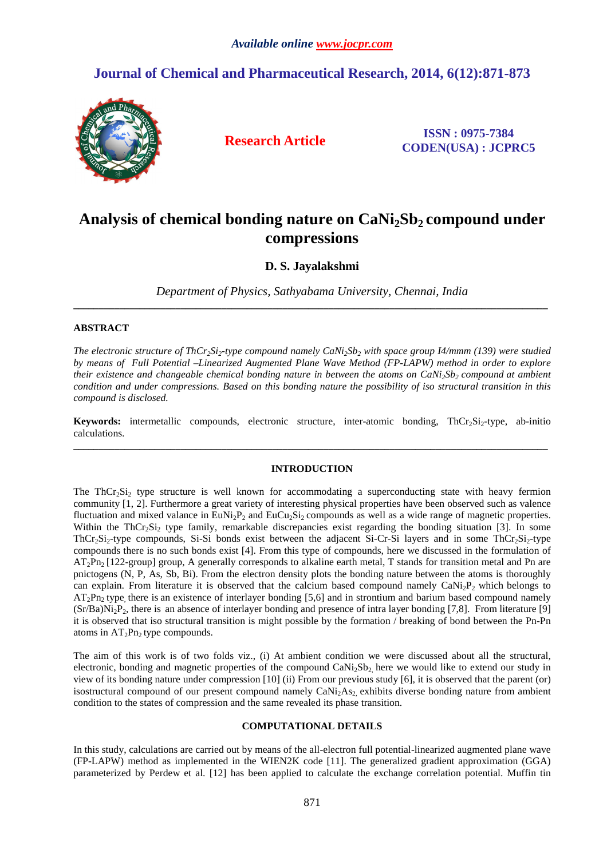## **Journal of Chemical and Pharmaceutical Research, 2014, 6(12):871-873**



**Research Article ISSN : 0975-7384 CODEN(USA) : JCPRC5**

# **Analysis of chemical bonding nature on CaNi2Sb2 compound under compressions**

### **D. S. Jayalakshmi**

*Department of Physics, Sathyabama University, Chennai, India*  **\_\_\_\_\_\_\_\_\_\_\_\_\_\_\_\_\_\_\_\_\_\_\_\_\_\_\_\_\_\_\_\_\_\_\_\_\_\_\_\_\_\_\_\_\_\_\_\_\_\_\_\_\_\_\_\_\_\_\_\_\_\_\_\_\_\_\_\_\_\_\_\_\_\_\_\_\_\_\_\_\_\_\_\_\_\_\_\_\_\_\_\_\_** 

#### **ABSTRACT**

*The electronic structure of ThCr2Si2-type compound namely CaNi2Sb2 with space group I4/mmm (139) were studied by means of Full Potential –Linearized Augmented Plane Wave Method (FP-LAPW) method in order to explore their existence and changeable chemical bonding nature in between the atoms on CaNi2Sb2 compound at ambient condition and under compressions. Based on this bonding nature the possibility of iso structural transition in this compound is disclosed.* 

**Keywords:** intermetallic compounds, electronic structure, inter-atomic bonding, ThCr<sub>2</sub>Si<sub>2</sub>-type, ab-initio calculations. **\_\_\_\_\_\_\_\_\_\_\_\_\_\_\_\_\_\_\_\_\_\_\_\_\_\_\_\_\_\_\_\_\_\_\_\_\_\_\_\_\_\_\_\_\_\_\_\_\_\_\_\_\_\_\_\_\_\_\_\_\_\_\_\_\_\_\_\_\_\_\_\_\_\_\_\_\_\_\_\_\_\_\_\_\_\_\_\_\_\_\_\_\_** 

#### **INTRODUCTION**

The ThCr<sub>2</sub>Si<sub>2</sub> type structure is well known for accommodating a superconducting state with heavy fermion community [1, 2]. Furthermore a great variety of interesting physical properties have been observed such as valence fluctuation and mixed valance in  $\text{EuNi}_2\text{P}_2$  and  $\text{EuCu}_2\text{Si}_2$  compounds as well as a wide range of magnetic properties. Within the ThCr<sub>2</sub>Si<sub>2</sub> type family, remarkable discrepancies exist regarding the bonding situation [3]. In some  $ThCr<sub>2</sub>Si<sub>2</sub>$ -type compounds, Si-Si bonds exist between the adjacent Si-Cr-Si layers and in some  $ThCr<sub>2</sub>Si<sub>2</sub>$ -type compounds there is no such bonds exist [4]. From this type of compounds, here we discussed in the formulation of  $AT_2Pn_2$  [122-group] group, A generally corresponds to alkaline earth metal, T stands for transition metal and Pn are pnictogens (N, P, As, Sb, Bi). From the electron density plots the bonding nature between the atoms is thoroughly can explain. From literature it is observed that the calcium based compound namely  $CaNi<sub>2</sub>P<sub>2</sub>$  which belongs to  $AT_2Pn_2$  type, there is an existence of interlayer bonding [5,6] and in strontium and barium based compound namely  $(Sr/Ba)Ni<sub>2</sub>P<sub>2</sub>$ , there is an absence of interlayer bonding and presence of intra layer bonding [7,8]. From literature [9] it is observed that iso structural transition is might possible by the formation / breaking of bond between the Pn-Pn atoms in  $AT_2Pn_2$  type compounds.

The aim of this work is of two folds viz., (i) At ambient condition we were discussed about all the structural, electronic, bonding and magnetic properties of the compound CaNi<sub>2</sub>Sb<sub>2</sub> here we would like to extend our study in view of its bonding nature under compression [10] (ii) From our previous study [6], it is observed that the parent (or) isostructural compound of our present compound namely  $\text{CAN}_{2}$ As<sub>2</sub>, exhibits diverse bonding nature from ambient condition to the states of compression and the same revealed its phase transition.

#### **COMPUTATIONAL DETAILS**

In this study, calculations are carried out by means of the all-electron full potential-linearized augmented plane wave (FP-LAPW) method as implemented in the WIEN2K code [11]. The generalized gradient approximation (GGA) parameterized by Perdew et al. [12] has been applied to calculate the exchange correlation potential. Muffin tin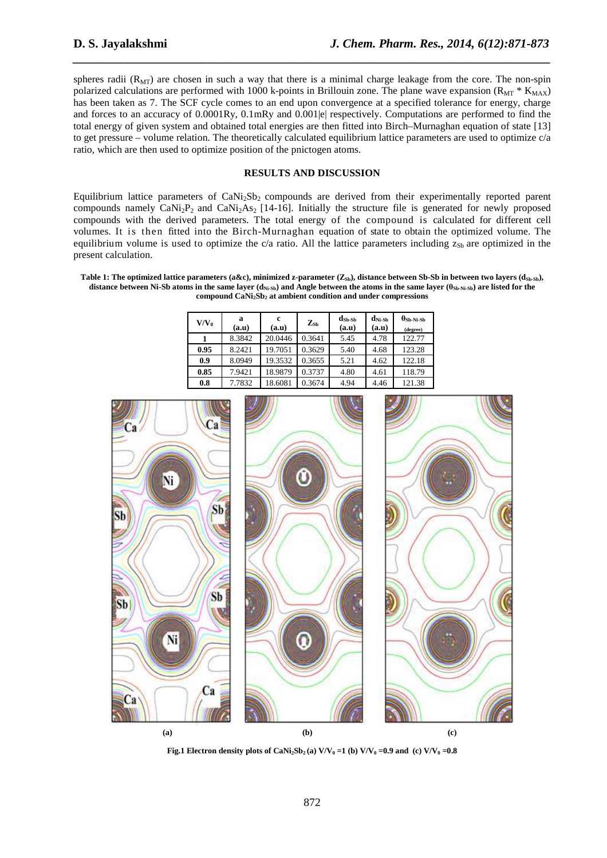spheres radii  $(R<sub>MT</sub>)$  are chosen in such a way that there is a minimal charge leakage from the core. The non-spin polarized calculations are performed with 1000 k-points in Brillouin zone. The plane wave expansion ( $R_{\text{MT}}$  \*  $K_{\text{MAX}}$ ) has been taken as 7. The SCF cycle comes to an end upon convergence at a specified tolerance for energy, charge and forces to an accuracy of  $0.0001R_y$ ,  $0.1mR_y$  and  $0.001|e|$  respectively. Computations are performed to find the total energy of given system and obtained total energies are then fitted into Birch–Murnaghan equation of state [13] to get pressure – volume relation. The theoretically calculated equilibrium lattice parameters are used to optimize  $c/a$ ratio, which are then used to optimize position of the pnictogen atoms.

*\_\_\_\_\_\_\_\_\_\_\_\_\_\_\_\_\_\_\_\_\_\_\_\_\_\_\_\_\_\_\_\_\_\_\_\_\_\_\_\_\_\_\_\_\_\_\_\_\_\_\_\_\_\_\_\_\_\_\_\_\_\_\_\_\_\_\_\_\_\_\_\_\_\_\_\_\_\_*

#### **RESULTS AND DISCUSSION**

Equilibrium lattice parameters of  $CaNi<sub>2</sub>Sh<sub>2</sub>$  compounds are derived from their experimentally reported parent compounds namely  $\text{CaNi}_2\text{P}_2$  and  $\text{CaNi}_2\text{As}_2$  [14-16]. Initially the structure file is generated for newly proposed compounds with the derived parameters. The total energy of the compound is calculated for different cell volumes. It is then fitted into the Birch-Murnaghan equation of state to obtain the optimized volume. The equilibrium volume is used to optimize the c/a ratio. All the lattice parameters including  $z_{\text{Sb}}$  are optimized in the present calculation.

Table 1: The optimized lattice parameters (a&c), minimized z-parameter ( $Z_{\text{sb}}$ ), distance between Sb-Sb in between two layers ( $d_{\text{sb},\text{sb}}$ ), **distance between Ni-Sb atoms in the same layer (dNi-Sb) and Angle between the atoms in the same layer (θSb-Ni-Sb) are listed for the compound CaNi2Sb2 at ambient condition and under compressions** 

| $V/V_0$ | a<br>(a.u) | c<br>(a.u) | $Z_{\rm Sb}$ | $\mathbf{d}_{\mathbf{S}\mathbf{b}\text{-}\mathbf{S}\mathbf{b}}$<br>(a.u) | $\mathbf{d}_{\textrm{Ni-}{\textrm{Sb}}}$<br>(a.u) | $\bm{\theta}_{\textbf{S}\textbf{b-Ni-Sb}}$<br>(degree) |
|---------|------------|------------|--------------|--------------------------------------------------------------------------|---------------------------------------------------|--------------------------------------------------------|
|         | 8.3842     | 20.0446    | 0.3641       | 5.45                                                                     | 4.78                                              | 122.77                                                 |
| 0.95    | 8.2421     | 19.7051    | 0.3629       | 5.40                                                                     | 4.68                                              | 123.28                                                 |
| 0.9     | 8.0949     | 19.3532    | 0.3655       | 5.21                                                                     | 4.62                                              | 122.18                                                 |
| 0.85    | 7.9421     | 18.9879    | 0.3737       | 4.80                                                                     | 4.61                                              | 118.79                                                 |
| 0.8     | 7.7832     | 18.6081    | 0.3674       | 4.94                                                                     | 4.46                                              | 121.38                                                 |



**Fig.1 Electron density plots of CaNi**<sub>2</sub>Sb<sub>2</sub>(a)  $V/V_0 = 1$  (b)  $V/V_0 = 0.9$  and (c)  $V/V_0 = 0.8$